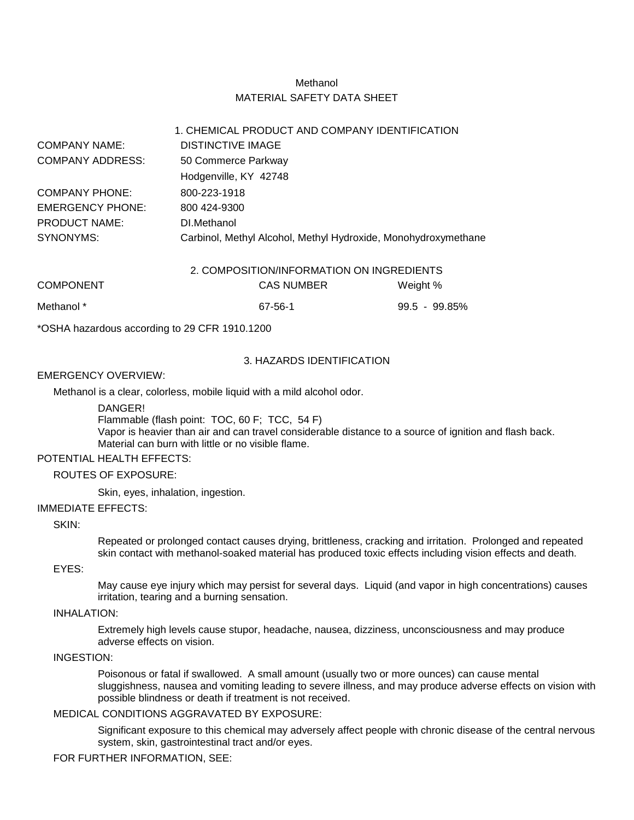# Methanol MATERIAL SAFETY DATA SHEET

1. CHEMICAL PRODUCT AND COMPANY IDENTIFICATION

|                         |                                                                | T. CHEMICAL PRODUCT AND COMPANY IDENTIFICATION |                  |  |
|-------------------------|----------------------------------------------------------------|------------------------------------------------|------------------|--|
| <b>COMPANY NAME:</b>    | DISTINCTIVE IMAGE                                              |                                                |                  |  |
| <b>COMPANY ADDRESS:</b> | 50 Commerce Parkway                                            |                                                |                  |  |
|                         | Hodgenville, KY 42748                                          |                                                |                  |  |
| <b>COMPANY PHONE:</b>   | 800-223-1918                                                   |                                                |                  |  |
| <b>EMERGENCY PHONE:</b> | 800 424-9300                                                   |                                                |                  |  |
| <b>PRODUCT NAME:</b>    | DI.Methanol                                                    |                                                |                  |  |
| SYNONYMS:               | Carbinol, Methyl Alcohol, Methyl Hydroxide, Monohydroxymethane |                                                |                  |  |
|                         |                                                                | 2. COMPOSITION/INFORMATION ON INGREDIENTS      |                  |  |
| <b>COMPONENT</b>        |                                                                | <b>CAS NUMBER</b>                              | Weight %         |  |
| Methanol *              |                                                                | 67-56-1                                        | $99.5 - 99.85\%$ |  |

\*OSHA hazardous according to 29 CFR 1910.1200

#### 3. HAZARDS IDENTIFICATION

#### EMERGENCY OVERVIEW:

Methanol is a clear, colorless, mobile liquid with a mild alcohol odor.

DANGER!

Flammable (flash point: TOC, 60 F; TCC, 54 F) Vapor is heavier than air and can travel considerable distance to a source of ignition and flash back. Material can burn with little or no visible flame.

# POTENTIAL HEALTH EFFECTS:

#### ROUTES OF EXPOSURE:

Skin, eyes, inhalation, ingestion.

#### IMMEDIATE EFFECTS:

#### SKIN:

Repeated or prolonged contact causes drying, brittleness, cracking and irritation. Prolonged and repeated skin contact with methanol-soaked material has produced toxic effects including vision effects and death.

## EYES:

May cause eye injury which may persist for several days. Liquid (and vapor in high concentrations) causes irritation, tearing and a burning sensation.

### INHALATION:

Extremely high levels cause stupor, headache, nausea, dizziness, unconsciousness and may produce adverse effects on vision.

## INGESTION:

Poisonous or fatal if swallowed. A small amount (usually two or more ounces) can cause mental sluggishness, nausea and vomiting leading to severe illness, and may produce adverse effects on vision with possible blindness or death if treatment is not received.

#### MEDICAL CONDITIONS AGGRAVATED BY EXPOSURE:

Significant exposure to this chemical may adversely affect people with chronic disease of the central nervous system, skin, gastrointestinal tract and/or eyes.

### FOR FURTHER INFORMATION, SEE: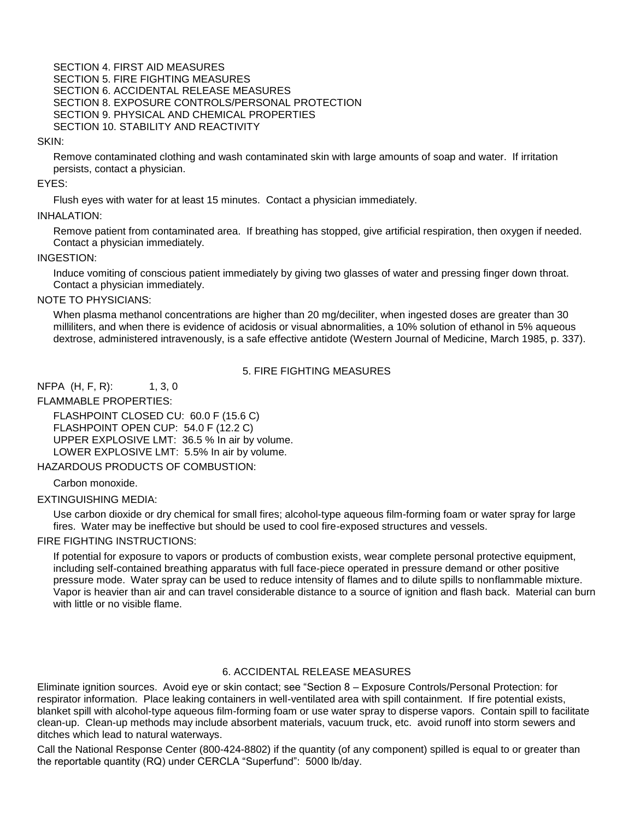SECTION 4. FIRST AID MEASURES SECTION 5. FIRE FIGHTING MEASURES SECTION 6. ACCIDENTAL RELEASE MEASURES SECTION 8. EXPOSURE CONTROLS/PERSONAL PROTECTION SECTION 9. PHYSICAL AND CHEMICAL PROPERTIES SECTION 10. STABILITY AND REACTIVITY

#### SKIN:

Remove contaminated clothing and wash contaminated skin with large amounts of soap and water. If irritation persists, contact a physician.

EYES:

Flush eyes with water for at least 15 minutes. Contact a physician immediately.

#### INHALATION:

Remove patient from contaminated area. If breathing has stopped, give artificial respiration, then oxygen if needed. Contact a physician immediately.

#### INGESTION:

Induce vomiting of conscious patient immediately by giving two glasses of water and pressing finger down throat. Contact a physician immediately.

#### NOTE TO PHYSICIANS:

When plasma methanol concentrations are higher than 20 mg/deciliter, when ingested doses are greater than 30 milliliters, and when there is evidence of acidosis or visual abnormalities, a 10% solution of ethanol in 5% aqueous dextrose, administered intravenously, is a safe effective antidote (Western Journal of Medicine, March 1985, p. 337).

# 5. FIRE FIGHTING MEASURES

NFPA (H, F, R): 1, 3, 0

FLAMMABLE PROPERTIES:

FLASHPOINT CLOSED CU: 60.0 F (15.6 C) FLASHPOINT OPEN CUP: 54.0 F (12.2 C) UPPER EXPLOSIVE LMT: 36.5 % In air by volume. LOWER EXPLOSIVE LMT: 5.5% In air by volume.

HAZARDOUS PRODUCTS OF COMBUSTION:

Carbon monoxide.

### EXTINGUISHING MEDIA:

Use carbon dioxide or dry chemical for small fires; alcohol-type aqueous film-forming foam or water spray for large fires. Water may be ineffective but should be used to cool fire-exposed structures and vessels.

### FIRE FIGHTING INSTRUCTIONS:

If potential for exposure to vapors or products of combustion exists, wear complete personal protective equipment, including self-contained breathing apparatus with full face-piece operated in pressure demand or other positive pressure mode. Water spray can be used to reduce intensity of flames and to dilute spills to nonflammable mixture. Vapor is heavier than air and can travel considerable distance to a source of ignition and flash back. Material can burn with little or no visible flame.

## 6. ACCIDENTAL RELEASE MEASURES

Eliminate ignition sources. Avoid eye or skin contact; see "Section 8 – Exposure Controls/Personal Protection: for respirator information. Place leaking containers in well-ventilated area with spill containment. If fire potential exists, blanket spill with alcohol-type aqueous film-forming foam or use water spray to disperse vapors. Contain spill to facilitate clean-up. Clean-up methods may include absorbent materials, vacuum truck, etc. avoid runoff into storm sewers and ditches which lead to natural waterways.

Call the National Response Center (800-424-8802) if the quantity (of any component) spilled is equal to or greater than the reportable quantity (RQ) under CERCLA "Superfund": 5000 lb/day.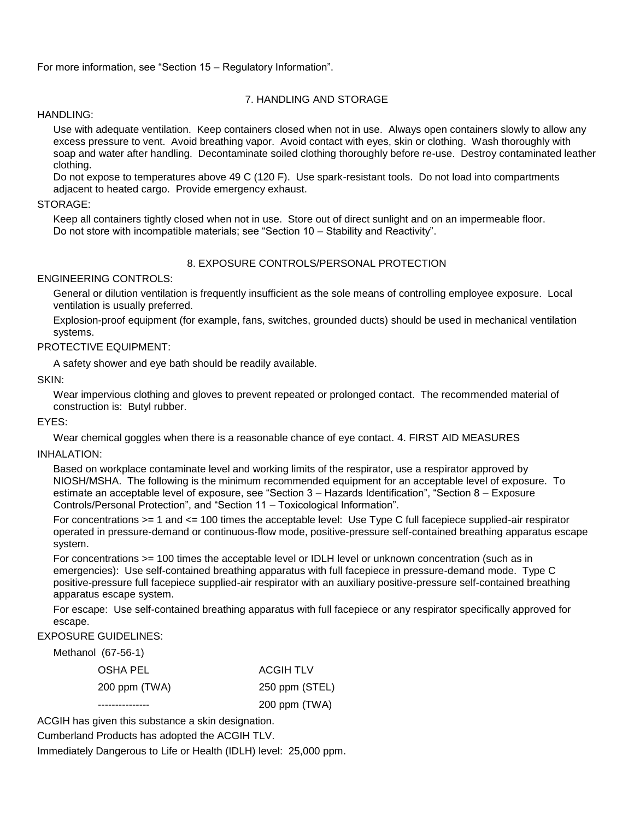For more information, see "Section 15 – Regulatory Information".

# 7. HANDLING AND STORAGE

### HANDLING:

Use with adequate ventilation. Keep containers closed when not in use. Always open containers slowly to allow any excess pressure to vent. Avoid breathing vapor. Avoid contact with eyes, skin or clothing. Wash thoroughly with soap and water after handling. Decontaminate soiled clothing thoroughly before re-use. Destroy contaminated leather clothing.

Do not expose to temperatures above 49 C (120 F). Use spark-resistant tools. Do not load into compartments adjacent to heated cargo. Provide emergency exhaust.

### STORAGE:

Keep all containers tightly closed when not in use. Store out of direct sunlight and on an impermeable floor. Do not store with incompatible materials; see "Section 10 – Stability and Reactivity".

### 8. EXPOSURE CONTROLS/PERSONAL PROTECTION

### ENGINEERING CONTROLS:

General or dilution ventilation is frequently insufficient as the sole means of controlling employee exposure. Local ventilation is usually preferred.

Explosion-proof equipment (for example, fans, switches, grounded ducts) should be used in mechanical ventilation systems.

### PROTECTIVE EQUIPMENT:

A safety shower and eye bath should be readily available.

SKIN:

Wear impervious clothing and gloves to prevent repeated or prolonged contact. The recommended material of construction is: Butyl rubber.

### EYES:

Wear chemical goggles when there is a reasonable chance of eye contact. 4. FIRST AID MEASURES

### INHALATION:

Based on workplace contaminate level and working limits of the respirator, use a respirator approved by NIOSH/MSHA. The following is the minimum recommended equipment for an acceptable level of exposure. To estimate an acceptable level of exposure, see "Section 3 – Hazards Identification", "Section 8 – Exposure Controls/Personal Protection", and "Section 11 – Toxicological Information".

For concentrations >= 1 and <= 100 times the acceptable level: Use Type C full facepiece supplied-air respirator operated in pressure-demand or continuous-flow mode, positive-pressure self-contained breathing apparatus escape system.

For concentrations >= 100 times the acceptable level or IDLH level or unknown concentration (such as in emergencies): Use self-contained breathing apparatus with full facepiece in pressure-demand mode. Type C positive-pressure full facepiece supplied-air respirator with an auxiliary positive-pressure self-contained breathing apparatus escape system.

For escape: Use self-contained breathing apparatus with full facepiece or any respirator specifically approved for escape.

### EXPOSURE GUIDELINES:

Methanol (67-56-1)

| OSHA PEL      | ACGIH TLV      |
|---------------|----------------|
| 200 ppm (TWA) | 250 ppm (STEL) |
|               | 200 ppm (TWA)  |

ACGIH has given this substance a skin designation.

Cumberland Products has adopted the ACGIH TLV.

Immediately Dangerous to Life or Health (IDLH) level: 25,000 ppm.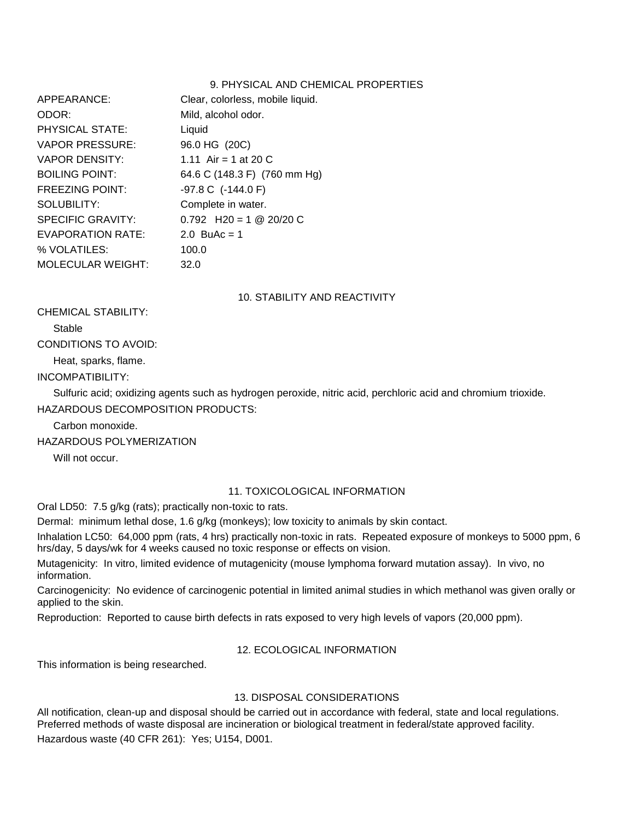### 9. PHYSICAL AND CHEMICAL PROPERTIES

| APPEARANCE:              | Clear, colorless, mobile liquid. |
|--------------------------|----------------------------------|
| ODOR:                    | Mild, alcohol odor.              |
| <b>PHYSICAL STATE:</b>   | Liquid                           |
| VAPOR PRESSURE:          | 96.0 HG (20C)                    |
| <b>VAPOR DENSITY:</b>    | 1.11 Air = 1 at 20 C             |
| <b>BOILING POINT:</b>    | 64.6 C (148.3 F) (760 mm Hg)     |
| <b>FREEZING POINT:</b>   | $-97.8$ C $(-144.0)$ F)          |
| SOLUBILITY:              | Complete in water.               |
| SPECIFIC GRAVITY:        | $0.792$ H20 = 1 @ 20/20 C        |
| EVAPORATION RATE:        | 2.0 BuAc = 1                     |
| % VOLATILES:             | 100.0                            |
| <b>MOLECULAR WEIGHT:</b> | 32.0                             |

10. STABILITY AND REACTIVITY

CHEMICAL STABILITY:

Stable

CONDITIONS TO AVOID:

Heat, sparks, flame.

INCOMPATIBILITY:

Sulfuric acid; oxidizing agents such as hydrogen peroxide, nitric acid, perchloric acid and chromium trioxide. HAZARDOUS DECOMPOSITION PRODUCTS:

Carbon monoxide.

HAZARDOUS POLYMERIZATION

Will not occur

# 11. TOXICOLOGICAL INFORMATION

Oral LD50: 7.5 g/kg (rats); practically non-toxic to rats.

Dermal: minimum lethal dose, 1.6 g/kg (monkeys); low toxicity to animals by skin contact.

Inhalation LC50: 64,000 ppm (rats, 4 hrs) practically non-toxic in rats. Repeated exposure of monkeys to 5000 ppm, 6 hrs/day, 5 days/wk for 4 weeks caused no toxic response or effects on vision.

Mutagenicity: In vitro, limited evidence of mutagenicity (mouse lymphoma forward mutation assay). In vivo, no information.

Carcinogenicity: No evidence of carcinogenic potential in limited animal studies in which methanol was given orally or applied to the skin.

Reproduction: Reported to cause birth defects in rats exposed to very high levels of vapors (20,000 ppm).

# 12. ECOLOGICAL INFORMATION

This information is being researched.

# 13. DISPOSAL CONSIDERATIONS

All notification, clean-up and disposal should be carried out in accordance with federal, state and local regulations. Preferred methods of waste disposal are incineration or biological treatment in federal/state approved facility. Hazardous waste (40 CFR 261): Yes; U154, D001.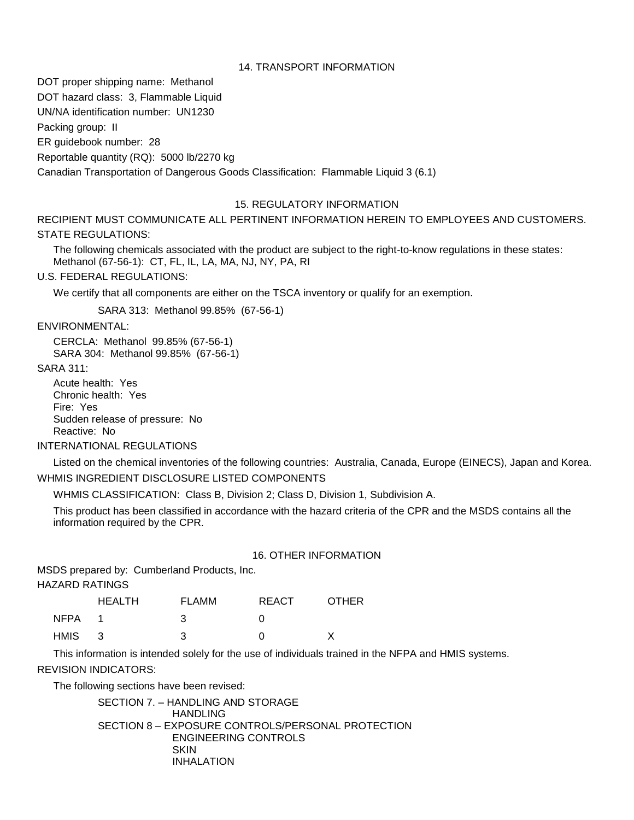#### 14. TRANSPORT INFORMATION

DOT proper shipping name: Methanol DOT hazard class: 3, Flammable Liquid

UN/NA identification number: UN1230

Packing group: II

ER guidebook number: 28

Reportable quantity (RQ): 5000 lb/2270 kg

Canadian Transportation of Dangerous Goods Classification: Flammable Liquid 3 (6.1)

### 15. REGULATORY INFORMATION

RECIPIENT MUST COMMUNICATE ALL PERTINENT INFORMATION HEREIN TO EMPLOYEES AND CUSTOMERS. STATE REGULATIONS:

The following chemicals associated with the product are subject to the right-to-know regulations in these states: Methanol (67-56-1): CT, FL, IL, LA, MA, NJ, NY, PA, RI

U.S. FEDERAL REGULATIONS:

We certify that all components are either on the TSCA inventory or qualify for an exemption.

SARA 313: Methanol 99.85% (67-56-1)

ENVIRONMENTAL:

CERCLA: Methanol 99.85% (67-56-1) SARA 304: Methanol 99.85% (67-56-1)

### SARA 311:

Acute health: Yes Chronic health: Yes Fire: Yes Sudden release of pressure: No Reactive: No

# INTERNATIONAL REGULATIONS

Listed on the chemical inventories of the following countries: Australia, Canada, Europe (EINECS), Japan and Korea. WHMIS INGREDIENT DISCLOSURE LISTED COMPONENTS

WHMIS CLASSIFICATION: Class B, Division 2; Class D, Division 1, Subdivision A.

This product has been classified in accordance with the hazard criteria of the CPR and the MSDS contains all the information required by the CPR.

### 16. OTHER INFORMATION

MSDS prepared by: Cumberland Products, Inc.

HAZARD RATINGS

|      | <b>HEALTH</b> | <b>FLAMM</b> | REACT | <b>OTHER</b> |
|------|---------------|--------------|-------|--------------|
| NFPA |               |              |       |              |
| HMIS | $\mathbf{R}$  |              |       |              |

This information is intended solely for the use of individuals trained in the NFPA and HMIS systems.

# REVISION INDICATORS:

The following sections have been revised:

SECTION 7. – HANDLING AND STORAGE HANDI ING SECTION 8 – EXPOSURE CONTROLS/PERSONAL PROTECTION ENGINEERING CONTROLS **SKIN** INHALATION